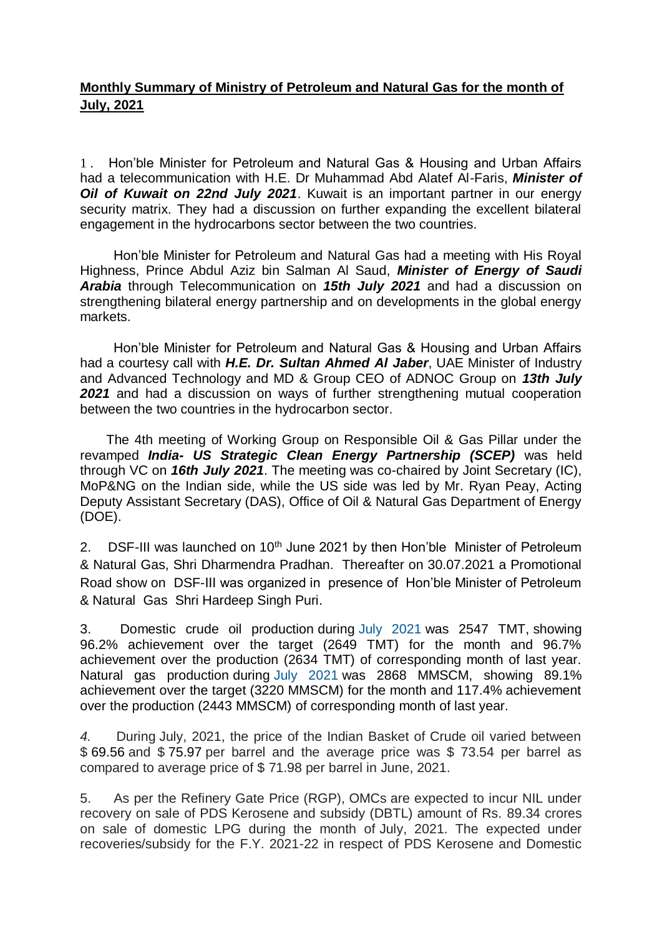## **Monthly Summary of Ministry of Petroleum and Natural Gas for the month of July, 2021**

1 . Hon'ble Minister for Petroleum and Natural Gas & Housing and Urban Affairs had a telecommunication with H.E. Dr Muhammad Abd Alatef Al-Faris, *Minister of Oil of Kuwait on 22nd July 2021*. Kuwait is an important partner in our energy security matrix. They had a discussion on further expanding the excellent bilateral engagement in the hydrocarbons sector between the two countries.

 Hon'ble Minister for Petroleum and Natural Gas had a meeting with His Royal Highness, Prince Abdul Aziz bin Salman Al Saud, *Minister of Energy of Saudi Arabia* through Telecommunication on *15th July 2021* and had a discussion on strengthening bilateral energy partnership and on developments in the global energy markets.

 Hon'ble Minister for Petroleum and Natural Gas & Housing and Urban Affairs had a courtesy call with *H.E. Dr. Sultan Ahmed Al Jaber*, UAE Minister of Industry and Advanced Technology and MD & Group CEO of ADNOC Group on *13th July 2021* and had a discussion on ways of further strengthening mutual cooperation between the two countries in the hydrocarbon sector.

 The 4th meeting of Working Group on Responsible Oil & Gas Pillar under the revamped *India- US Strategic Clean Energy Partnership (SCEP)* was held through VC on *16th July 2021*. The meeting was co-chaired by Joint Secretary (IC), MoP&NG on the Indian side, while the US side was led by Mr. Ryan Peay, Acting Deputy Assistant Secretary (DAS), Office of Oil & Natural Gas Department of Energy (DOE).

2. DSF-III was launched on  $10<sup>th</sup>$  June 2021 by then Hon'ble Minister of Petroleum & Natural Gas, Shri Dharmendra Pradhan. Thereafter on 30.07.2021 a Promotional Road show on DSF-III was organized in presence of Hon'ble Minister of Petroleum & Natural Gas Shri Hardeep Singh Puri.

3. Domestic crude oil production during July 2021 was 2547 TMT, showing 96.2% achievement over the target (2649 TMT) for the month and 96.7% achievement over the production (2634 TMT) of corresponding month of last year. Natural gas production during July 2021 was 2868 MMSCM, showing 89.1% achievement over the target (3220 MMSCM) for the month and 117.4% achievement over the production (2443 MMSCM) of corresponding month of last year.

*4.* During July, 2021, the price of the Indian Basket of Crude oil varied between \$ 69.56 and \$ 75.97 per barrel and the average price was \$ 73.54 per barrel as compared to average price of \$ 71.98 per barrel in June, 2021.

5. As per the Refinery Gate Price (RGP), OMCs are expected to incur NIL under recovery on sale of PDS Kerosene and subsidy (DBTL) amount of Rs. 89.34 crores on sale of domestic LPG during the month of July, 2021. The expected under recoveries/subsidy for the F.Y. 2021-22 in respect of PDS Kerosene and Domestic